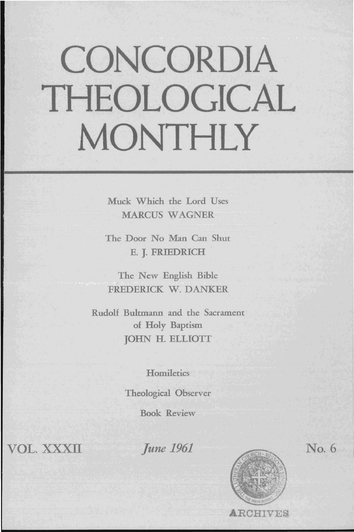## **CONCORDIA THEOLOGICAL MONTHLY**

Muck Which the Lord Uses MARCUS WAGNER

The Door No Man Can Shut E. J. FRIEDRICH

The New English Bible FREDERICK W. DANKER

Rudolf Bultmann and the Sacrament of Holy Baptism JOHN H. ELLIOTT

**Homiletics** 

Theological Observer

Book Review

VOL. XXXII

*June 1961* 



No. 6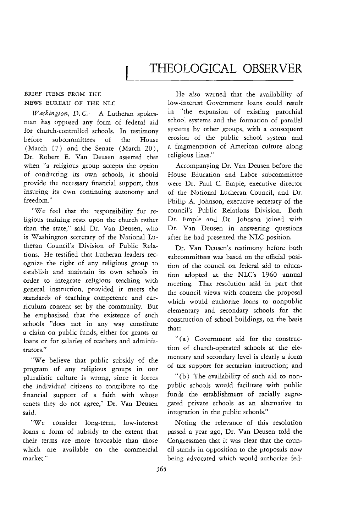## BRIEF ITEMS FROM THE NEWS BUREAU OF THE NLC

*Washington, D.C.* - A Lutheran spokesman has opposed any form of federal aid for church-controlled schools. In testimony before subcommittees of the House (March 17) and the Senate (March 20), Dr. Robert E. Van Deusen asserted that when "a religious group accepts the option of conducting its own schools, it should provide the necessary financial support, thus insuring its own continuing autonomy and freedom."

"We feel that the responsibility for religious training rests upon the church rather than the state," said Dr. Van Deusen, who is Washington secretary of the National Lutheran Council's Division of Public Relations. He testified that Lutheran leaders recognize the right of any religious group to establish and maintain its own schools in order to integrate religious teaching with general instruction, provided it meets the standards of teaching competence and curriculum content set by the community. But he emphasized that the existence of such schools "does not in any way constitute a claim on public funds, either for grants or loans or for salaries of teachers and administrators."

"We believe that public subsidy of the program of any religious groups in our pluralistic culture is wrong, since it forces the individual citizens to contribute to the financial support of a faith with whose tenets they do not agree," Dr. Van Deusen said.

"We consider long-term, low-interest loans a form of subsidy to the extent that their terms are more favorable than those which are available on the commercial market."

He also warned that the availability of low-interest Government loans could result in "the expansion of existing parochial school systems and the formation of parallel systems by other groups, with a consequent erosion of the public school system and a fragmentation of American culture along religious lines."

Accompanying Dr. Van Deusen before the House Education and Labor subcommittee were Dr. Paul C. Empie, executive director of the National Lutheran Council, and Dr. Philip A. Johnson, executive secretary of the council's Public Relations Division. Both Dr. Empie and Dr. Johnson joined with Dr. Van Deusen in answering questions after he had presented the NLC position.

Dr. Van Deusen's testimony before both subcommittees was based on the official position of the council on federal aid to education adopted at the NLC's 1960 annual meeting. That resolution said in part that the council views with concern the proposal which would authorize loans to nonpublic elementary and secondary schools for the construction of school buildings, on the basis that:

" (a) Government aid for the construction of church-operated schools at the elementary and secondary level is clearly a form of tax support for sectarian instruction; and

"(b) The availability of such aid to nonpublic schools would facilitate with public funds the establishment of racially segregated private schools as an alternative to integration in the public schools."

Noting the relevance of this resolution passed a year ago, Dr. Van Deusen told the Congressmen that it was clear that the council stands in opposition to the proposals now being advocated which would authorize fed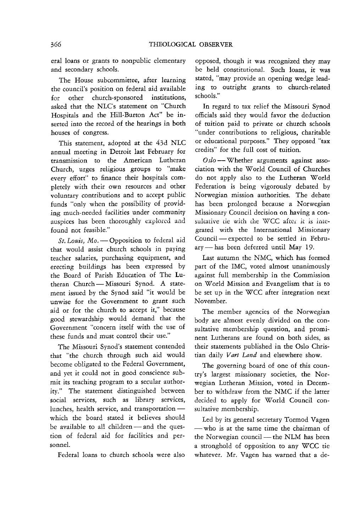eral loans or grants to nonpublic elementary and secondary schools.

The House subcommittee, after learning the council's position on federal aid available for other church-sponsored institutions, asked that the NLC's statement on "Church Hospitals and the Hill-Burton Act" be inserted into the record of the hearings in both houses of congress.

This statement, adopted at the 43d NLC annual meeting in Detroit last February for transmission to the American Lutheran Church, urges religious groups to "make every effort" to finance their hospitals completely with their own resources and other voluntary contributions and to accept public funds "only when the possibility of providing much-needed facilities under community auspices has been thoroughly explored and found not feasible."

*St. Louis, Mo.* - Opposition to federal aid that would assist church schools in paying teacher salaries, purchasing equipment, and erecting buildings has been expressed by the Board of Parish Education of The Lutheran Church - Missouri Synod. A statement issued by the Synod said "it would be unwise for the Government to grant such aid or for the church to accept it," because good stewardship would demand that the Government "concern itself with the use of these funds and must control their use."

The Missouri Synod's statement contended that "the church through such aid would become obligated to the Federal Government, and yet it could not in good conscience submit its teaching program to a secular authority." The statement distinguished between social services, such as library services, lunches, health service, and transportationwhich the board stated it believes should be available to all children  $-$  and the question of federal aid for facilities and personnel.

Federal loans to church schools were also

opposed, though it was recognized they may be held constitutional. Such loans, it was stated, "may provide an opening wedge leading to outright grants to church-related schools."

In regard to tax relief the Missouri Synod officials said they would favor the deduction of tuition paid to private or church schools "under contributions to religious, charitable or educational purposes." They opposed "tax credits" for the full cost of tuition.

Oslo -- Whether arguments against association with the W orId Council of Churches do not apply also to the Lutheran World Federation is being vigorously debated by Norwegian mission authorities. The debate has been prolonged because a Norwegian Missionary Council decision on having a consultative tie with the WCC after it is integrated with the International Missionary Council - expected to be settled in February-has been deferred until May 19.

Last autumn the NMC, which has formed part of the IMC, voted almost unanimously against full membership in the Commission on World Mission and Evangelism that is to be set up in the WCC after integration next November.

The member agencies of the Norwegian body are almost evenly divided on the consultative membership question, and prominent Lutherans are found on both sides, as their statements published in the Oslo Christian daily *Vart Land* and elsewhere show.

The governing board of one of this country's largest missionary societies, the Norwegian Lutheran Mission, voted in December to withdraw from the NMC if the latter decided to apply for World Council consultative membership.

Led by its general secretary Tormod Vagen - who is at the same time the chairman of the Norwegian council - the NLM has been a stronghold of opposition to any WCC tie whatever. Mr. Vagen has warned that a de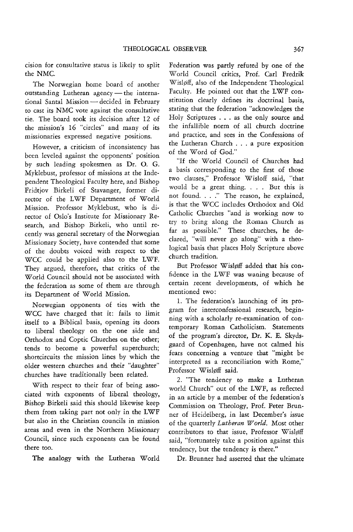cision for consultative status is likely to split the NMC.

The Norwegian home board of another outstanding Lutheran agency - the international Santal Mission - decided in February to cast its NMC vote against the consultative tie. The board took its decision after 12 of the mission's 16 "circles" and many of its missionaries expressed negative positions.

However, a criticism of inconsistency has been leveied against the opponents' position by such leading spokesmen as Dr. O. G. Myklebust, professor of missions at the Independent Theological Faculty here, and Bishop Fridtjov Birkeli of Stavanger, former director of the LWF Department of World Mission. Professor Myklebust, who is director of Oslo's Institute for Missionary Research, and Bishop Birkeli, who until recently was general secretary of the Norwegian Missionary Society, have contended that some of the doubts voiced with respect to the WCC could be applied also to the LWF. They argued, therefore, that critics of the World Council should not be associated with the federation as some of them are through its Department of World Mission.

Norwegian opponents of ties with the WCC have charged that it: fails to limit itself to a Biblical basis, opening its doors to liberal theology on the one side and Orthodox and Coptic Churches on the other; tends to become a powerful superchurch; shortcircuits the mission lines by which the older western churches and their "daughter" churches have traditionally been related.

With respect to their fear of being associated with exponents of liberal theology, Bishop Birkeli said this should likewise keep them from taking part not only in the LWF but also in the Christian councils in mission areas and even in the Northern Missionary Council, since such exponents can be found there too.

The analogy with the Lutheran World

Federation was partly refuted by one of the 'World Council critics, Prof. Carl Fredrik Wisl¢ff, also of the Independent Theological Faculty. He pointed out that the LWF constitution clearly defines its doctrinal basis, stating that the federation "acknowledges the Holy Scriptures ... as the only source and the infallible norm of all church doctrine and practice, and sees in the Confessions of the Lutheran Church . . . a pure exposition of the Word of God."

"If the World Council of Churches had a basis corresponding to the first of those two clauses," Professor Wisloff said, "that would be a great thing. . . . But this is not found. . . ." The reason, he explained, is that the WCC includes Orthodox and Old Catholic Churches "and is working now to try to bring along the Roman Church as far as possible." These churches, he declared, "wili never go along" with a theological basis that places Holy Scripture above church tradition.

But Professor Wisløff added that his confidence in the LWF was waning because of certain recent developments, of which he mentioned two:

1. The federation's launching of its program for interconfessional research, beginning with a scholarly re-examination of contemporary Roman Catholicism. Statements of the program's director, Dr. K. E. Skydsgaard of Copenhagen, have not calmed his fears concerning a venture that "might be interpreted as a reconciliation with Rome," Professor Wisløff said.

2. "The tendency to make a Lutheran world Church" out of the LWF, as reflected in an article by a member of the federation's Commission on Theology, Prof. Peter Brunner of Heidelberg, in last December's issue of the quarterly *Lutheran W orId.* Most other contributors to that issue, Professor Wisløff said, "fortunately take a position against this tendency, but the tendency is there."

Dr. Brunner had asserted that the ultimate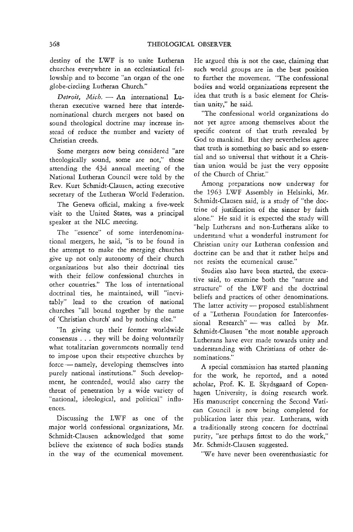destiny of the LWF is to unite Lutheran ohurches everywhere in an ecclesiastical fellowship and to become "an organ of the one globe-circling Lutheran Church."

Detroit, Mich. - An international Lutheran executive warned here that interdenominational church mergers not based on sound theological doctrine may increase instead of reduce the number and variety of Christian creeds.

Some mergers now being considered "are theologically sound, some are not," those attending the 43d annual meeting of the National Lutheran Council were told by the Rev. Kurt Schmidt-Clausen, acting executive secretary of the Lutheran World Federation.

The Geneva official, making a five-week visit to the United States, was a principal speaker at the NLC meeting.

The "essence" of some interdenominational mergers, he said, "is to be found in the attempt to make the merging churches give up not only autonomy of their church organizations but also their doctrinal ties with their fellow confessional churches in other countries." The loss of international doctrinal ties, he maintained, will "inevitably" lead to the creation of national churches "all bound together by the name of 'Christian church' and by nothing else."

"In giving up their former worldwide consensus ... they will be doing voluntarily what totalitarian governments normally tend to impose upon their respective churches by force - namely, developing themselves into purely national institutions." Such development, he contended, would also carry the threat of penetration by a wide variety of "national, ideological, and political" influences.

Discussing the LWF as one of the major world confessional organizations, Mr. Schmidt-Clausen acknowledged that some believe the existence of such bodies stands in the way of the ecumenical movement.

He argued this is not the case, claiming that such world groups are in the best position to further the movement. "The confessional bodies and world organizations represent the idea that truth is a basic element for Christian unity," he said.

"The confessional world organizations do not yet agree among themselves about the specific content of that truth revealed by God to mankind. But they nevertheless agree that truth is something so basic and so essential and so universal that without it a Christian union would be just the very opposite of the Church of Christ."

Among preparations now underway for the 1963 LWF Assembly in Helsinki, Mr. Schmidt-Clausen said, is a study of "the doctrine of justification of the sinner by faith alone." He said it is expected the study will "help Lutherans and non-Lutherans alike to understand what a wonderful instrument for Christian unity our Lutheran confession and doctrine can be and that it rather helps and not resists the ecumenical cause."

Studies also have been started, the executive said, to examine both the "nature and structure" of the LWF and the doctrinal beliefs and practices of other denominations. The latter activity  $-$  proposed establishment of a "Lutheran Foundation for Interconfessional Research" - was called by Mr. Schmidt-Clausen "the most notable approach Lutherans have ever made towards unity and understanding with Christians of other denominations."

A special commission has started planning for the work, he reported, and a noted scholar, Prof. K. E. Skydsgaard of Copenhagen University, is doing research work. His manuscript concerning the Second Vatican Council is now being completed for publication later this year. Lutherans, with a traditionally strong concern for doctrinal purity, "are perhaps fittest to do the work," Mr. Schmidt-Clausen suggested.

"We have never been overenthusiastic for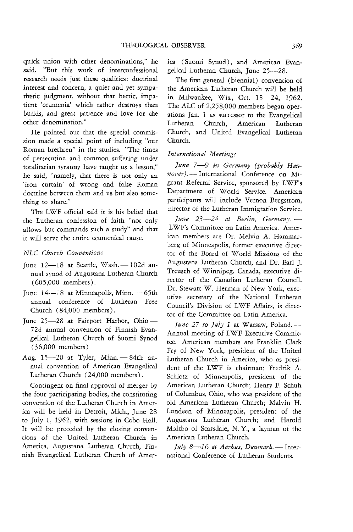quick union with other denominations," he said. "But this work of interconfessional research needs just these qualities: doctrinal interest and concern, a quiet and yet sympathetic judgment, without that hectic, impatient 'ecumenia' which rather destroys than builds, and great patience and love for the other denomination."

He pointed out that the special commission made a special point of including "our Roman brethren" in the studies. "The times of persecution and common suffering under totalitarian tyranny have taught us a lesson," he said, "namely, that there is not only an 'iron curtain' of wrong and false Roman doctrine between them and us but also something to share."

The LWF official said it is his belief that the Lutheran confession of faith "not only allows but commands such a study" and that it will serve the entire ecumenical cause.

## *NLC Cbttrcb Conventions*

- June  $12-18$  at Seattle, Wash.  $-102d$  annual synod of Augustana Lutheran Church (605,000 members).
- June  $14-18$  at Minneapolis, Minn. $-65$ th annual conference of Lutheran Free Church (84,000 members).
- June 25-28 at Fairport Harbor, Ohio-72d annual convention of Finnish Evangelical Lutheran Church of Suomi Synod ( 36,000 members)
- Aug. 15-20 at Tyler, Minn. 84th annual convention of American Evangelical Lutheran Church (24,000 members).

Contingent on final approval of merger by the four participating bodies, the constituting convention of the Lutheran Church in America will be held in Detroit, Mich., June 28 to July 1, 1962, with sessions in Cobo Hall. It will be preceded by the closing conventions of the United Lutheran Church in America, Augustana Lutheran Church, Finnish Evangelical Lutheran Church of America (Suomi Synod), and American Evangelical Lutheran Church, June 25-28.

The first general (biennial) convention of the American Lutheran Church will be held in Milwaukee, Wis., Oct. 18-24, 1962. The ALC of 2,258,000 members began operations Jan. 1 as successor to the Evangelical Lutheran Church, American Lutheran Church, and United Evangelical Lutheran Church.

## *International Meetings*

June 7-9 in Germany (probably Han*nover).* - International Conference on Migrant Referral Service, sponsored by LWF's Department of World Service. American participants will include Vernon Bergstrom, director of the Lutheran Immigration Service.

*June* 23-24 at Berlin, Germany, -L WF's Committee on Latin America. American members are Dr. Melvin A. Hammarberg of Minneapolis, former executive director of the Board of WorId Missions of the Augustana Lutheran Church, and Dr. Earl ]. Treusch of Winnipeg, Canada, executive director of the Canadian Lutheran Council. Dr. Stewart W. Herman of New York, executive secretary of the National Lutheran Council's Division of LWF Affairs, is director of the Committee on Latin America.

*June 27 to July 1* at Warsaw, Poland.-Annual meeting of LWF Executive Committee. American members are Franklin Clark Fry of New York, president of the United Lutheran Church in America, who as president of the LWF is chairman; Fredrik A. Schiotz of Minneapolis, president of the American Lutheran Church; Henry F. Schuh of Columbus, Ohio, who was president of the old American Lutheran Church; Malvin H. Lundeen of Minneapolis, president of the Augustana Lutheran Church; and Harold Midtbo of Scarsdale, N. Y, a layman of the American Lutheran Church.

*July 8*-16 at Aarhus, Denmark. - International Conference of Lutheran Students.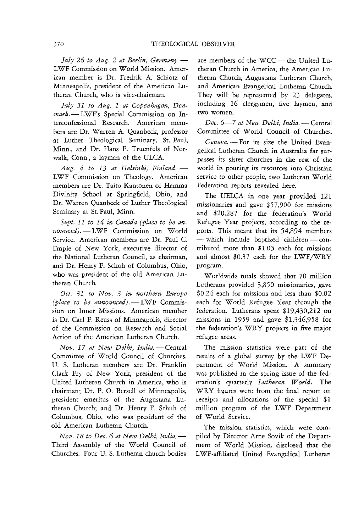*July* 26 *to Aug.* 2 *at Berlin, Germany.-* LWF Commission on World Mission. American member is Dr. Fredrik A. Schiotz of Minneapolis, president of the American Lutheran Church, who is vice-chairman.

July 31 to Aug. 1 at Copenhagen, Denmark. - LWF's Special Commission on Interconfessional Research. American members are Dr. Warren A. Quanbeck, professor at Luther Theological Seminary, St. Paul, Minn., and Dr. Hans P. Truenfels of Norwalk, Conn., a layman of the ULCA.

*Au.g.* 4 *to* 13 *at Helsinki, Finland.-* LWF Commission on Theology. American members are Dr. Taito Kantonen of Hamma Divinity School at Springfield, Ohio, and Dr. Warren Quanbeck of Luther Theological Seminary at St. Paul, Minn.

*Sept.* 11 *to* 14 *in Canada (place to be an-* $1$ *nounced*). - LWF Commission on World Service. American members are Dr. Paul C. Empie of New York, executive director of the National Lutheran Council, as chairman, and Dr. Henry F. Schuh of Columbus, Ohio, who was president of the old American Lutheran Church.

*Oct.* 31 *to Nov.* 3 *in northern Europe (place to be announced).* - LWF Commission on Inner Missions. American member is Dr. Carl F. Reuss of Minneapolis, director of the Commission on Research and Social Action of the American Lutheran Church.

*Nov.* 17 *at New Delhi, India.-Central*  Committee of World Council of Churches. U. S. Lutheran members are Dr. Franklin Clark Fry of New York, president of the United Lutheran Church in America, who is chairman; Dr. P. O. Bersell of Minneapolis, president emeritus of the Augustana Lutheran Church; and Dr. Henry F. Schuh of Columbus, Ohio, who was president of the old American Lutheran Church.

*Nov.* 18 *to Dec.* 6 *at New Delhi, India.-* Third Assembly of the World Council of Churches. Four U. S. Lutheran church bodies are members of the WCC-the United Lutheran Church in America, the American Lutheran Church, Augustana Lutheran Church, and American Evangelical Lutheran Church. They will be represented by 23 delegates, including 16 clergymen, five laymen, and two women.

Dec. 6-7 at New Delhi, India. - Central Committee of World Council of Churches.

*Geneva.* - For its size the United Evangelical Lutheran Church in Australia far surpasses its sister churches in the rest of the world in pouring its resources into Christian service to other people, two Lutheran World Federation reports revealed here.

The UELCA in one year provided 121 missionaries and gave \$57,900 for missions and \$20,287 for the federation's World Refugee Year projects, according to the reports. This meant that its 54,894 members - which include baptized children - contributed more than \$1.05 each for missions and almost  $$0.37$  each for the LWF/WRY program.

Worldwide totals showed that 70 million Lutherans provided 3,850 missionaries, gave \$0.24 each for missions and less than \$0.02 each for World Refugee Year through the federation. Lutherans spent \$19,430,212 on missions in 1959 and gave \$1,346,958 for the federation's WRY projects in five major refugee areas.

The mission statistics were part of the results of a global survey by the LWF Department of World Mission. A summary was published in the spring issue of the federation's quarterly *Lutheran World*. The WRY figures were from the final report on receipts and allocations of the special \$1 million program of the LWF Department of World Service.

The mission statistics, which were compiled by Director Arne Sovik of the Department of World Mission, disclosed that the L WF-affiliated United Evangelical Lutheran